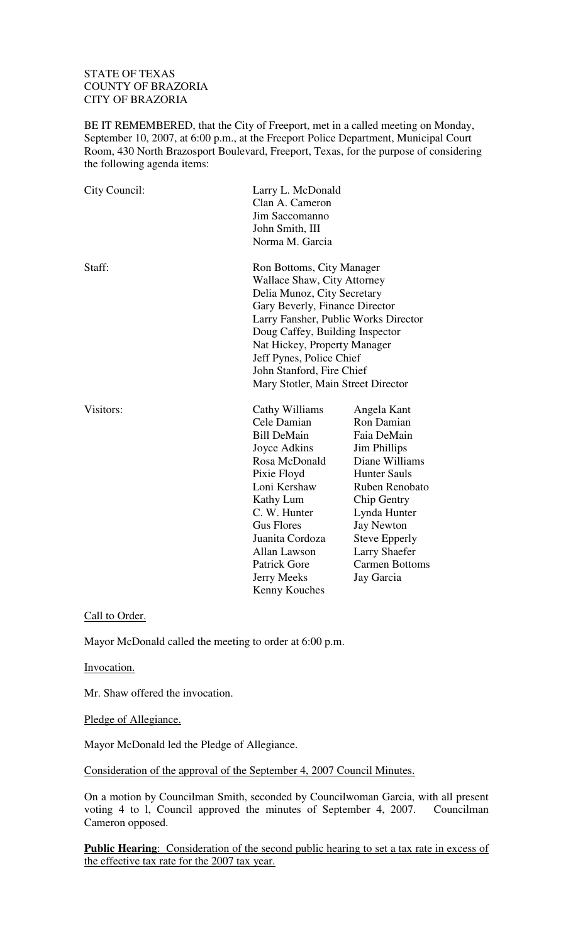## STATE OF TEXAS COUNTY OF BRAZORIA CITY OF BRAZORIA

BE IT REMEMBERED, that the City of Freeport, met in a called meeting on Monday, September 10, 2007, at 6:00 p.m., at the Freeport Police Department, Municipal Court Room, 430 North Brazosport Boulevard, Freeport, Texas, for the purpose of considering the following agenda items:

| City Council: | Clan A. Cameron<br>Jim Saccomanno<br>John Smith, III<br>Norma M. Garcia                                                                                                                                                                                                                                                                    | Larry L. McDonald                                                                                                                                                                                                                                              |  |
|---------------|--------------------------------------------------------------------------------------------------------------------------------------------------------------------------------------------------------------------------------------------------------------------------------------------------------------------------------------------|----------------------------------------------------------------------------------------------------------------------------------------------------------------------------------------------------------------------------------------------------------------|--|
| Staff:        | Ron Bottoms, City Manager<br><b>Wallace Shaw, City Attorney</b><br>Delia Munoz, City Secretary<br>Gary Beverly, Finance Director<br>Larry Fansher, Public Works Director<br>Doug Caffey, Building Inspector<br>Nat Hickey, Property Manager<br>Jeff Pynes, Police Chief<br>John Stanford, Fire Chief<br>Mary Stotler, Main Street Director |                                                                                                                                                                                                                                                                |  |
| Visitors:     | Cathy Williams<br>Cele Damian<br><b>Bill DeMain</b><br>Joyce Adkins<br>Rosa McDonald<br>Pixie Floyd<br>Loni Kershaw<br><b>Kathy Lum</b><br>C. W. Hunter<br><b>Gus Flores</b><br>Juanita Cordoza<br>Allan Lawson<br><b>Patrick Gore</b><br>Jerry Meeks<br>Kenny Kouches                                                                     | Angela Kant<br>Ron Damian<br>Faia DeMain<br>Jim Phillips<br>Diane Williams<br><b>Hunter Sauls</b><br>Ruben Renobato<br>Chip Gentry<br>Lynda Hunter<br><b>Jay Newton</b><br><b>Steve Epperly</b><br><b>Larry Shaefer</b><br><b>Carmen Bottoms</b><br>Jay Garcia |  |

Call to Order.

Mayor McDonald called the meeting to order at 6:00 p.m.

Invocation.

Mr. Shaw offered the invocation.

Pledge of Allegiance.

Mayor McDonald led the Pledge of Allegiance.

Consideration of the approval of the September 4, 2007 Council Minutes.

On a motion by Councilman Smith, seconded by Councilwoman Garcia, with all present voting 4 to l, Council approved the minutes of September 4, 2007. Councilman Cameron opposed.

**Public Hearing:** Consideration of the second public hearing to set a tax rate in excess of the effective tax rate for the 2007 tax year.